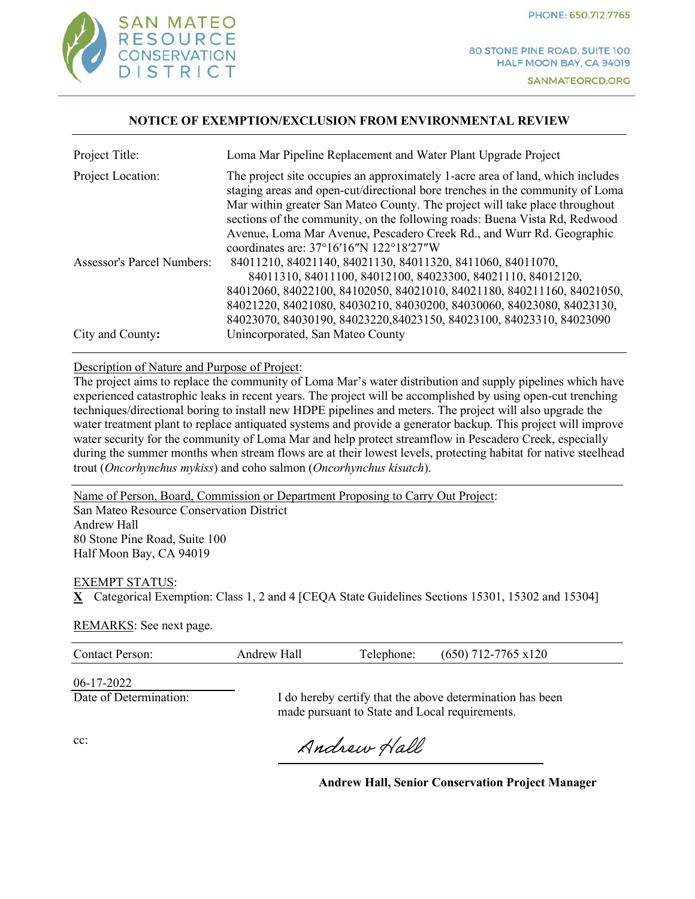

80 STONE PINE ROAD, SUITE 100 HALF MOON BAY, CA 94019 SANMATEORCD.ORG

#### **NOTICE OF EXEMPTION/EXCLUSION FROM ENVIRONMENTAL REVIEW**

| Project Title:                    | Loma Mar Pipeline Replacement and Water Plant Upgrade Project                                                                                                                                                                                                                                                                                                                                                                                              |
|-----------------------------------|------------------------------------------------------------------------------------------------------------------------------------------------------------------------------------------------------------------------------------------------------------------------------------------------------------------------------------------------------------------------------------------------------------------------------------------------------------|
| Project Location:                 | The project site occupies an approximately 1-acre area of land, which includes<br>staging areas and open-cut/directional bore trenches in the community of Loma<br>Mar within greater San Mateo County. The project will take place throughout<br>sections of the community, on the following roads: Buena Vista Rd, Redwood<br>Avenue, Loma Mar Avenue, Pescadero Creek Rd., and Wurr Rd. Geographic<br>coordinates are: $37^{\circ}16'16''N$ 122°18′27″W |
| <b>Assessor's Parcel Numbers:</b> | 84011210, 84021140, 84021130, 84011320, 8411060, 84011070,<br>84011310, 84011100, 84012100, 84023300, 84021110, 84012120,<br>84012060, 84022100, 84102050, 84021010, 84021180, 840211160, 84021050,<br>84021220, 84021080, 84030210, 84030200, 84030060, 84023080, 84023130,<br>84023070, 84030190, 84023220, 84023150, 84023100, 84023310, 84023090                                                                                                       |
| City and County:                  | Unincorporated, San Mateo County                                                                                                                                                                                                                                                                                                                                                                                                                           |

#### Description of Nature and Purpose of Project:

Description of Nature and Purpose of Project:<br>The project aims to replace the community of Loma Mar's water distribution and supply pipelines which have during the summer months when stream flows are at their lowest levels, protecting habitat for native steelhead trout (Oncorhynchus mykiss) and coho salmon (Oncorhynchus kisutch). experienced catastrophic leaks in recent years. The project will be accomplished by using open-cut trenching techniques/directional boring to install new HDPE pipelines and meters. The project will also upgrade the water treatment plant to replace antiquated systems and provide a generator backup. This project will improve water security for the community of Loma Mar and help protect streamflow in Pescadero Creek, especially

Name of Person, Board, Commission or Department Proposing to Carry Out Project: San Mateo Resource Conservation District Andrew Hall 80 Stone Pine Road, Suite 100 Half Moon Bay, CA 94019

#### EXEMPT STATUS:

**X** Categorical Exemption: Class 1, 2 and 4 [CEQA State Guidelines Sections 15301, 15302 and 15304]

REMARKS: See next page.

|  | <b>Contact Person:</b> | Andrew Hall | Telephone: | $(650)$ 712-7765 x120 |
|--|------------------------|-------------|------------|-----------------------|
|--|------------------------|-------------|------------|-----------------------|

06-17-2022

Date of Determination: I do hereby certify that the above determination has been made pursuant to State and Local requirements.

cc:

Andrew Hall

**Andrew Hall, Senior Conservation Project Manager**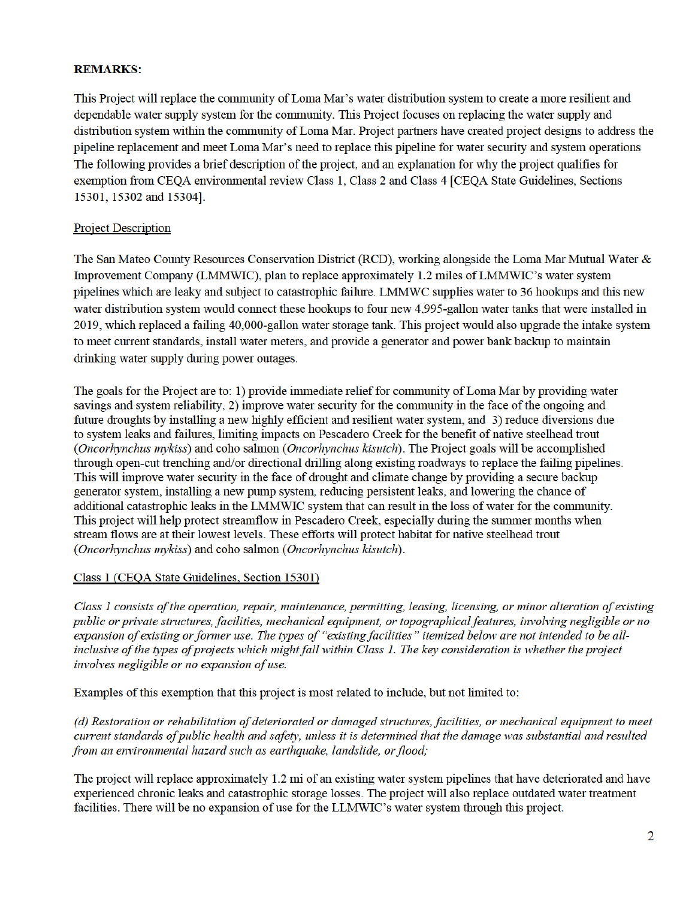# **REMARKS:**

This Project will replace the community of Loma Mar's water distribution system to create a more resilient and dependable water supply system for the community. This Project focuses on replacing the water supply and distribution system within the community of Loma Mar. Project partners have created project designs to address the The following provides a brief description of the project, and an explanation for why the project qualifies for pipeline replacement and meet Loma Mar's need to replace this pipeline for water security and system operations exemption from CEQA environmental review Class 1, Class 2 and Class 4 [CEQA State Guidelines, Sections 15301, 15302 and 15304].

# Project Description

The San Mateo County Resources Conservation District (RCD), working alongside the Loma Mar Mutual Water & to meet current standards, install water meters, and provide a generator and power bank backup to maintain Improvement Company (LMMWIC), plan to replace approximately 1.2 miles of LMMWIC's water system pipelines which are leaky and subject to catastrophic failure. LMMWC supplies water to 36 hookups and this new water distribution system would connect these hookups to four new 4,995-gallon water tanks that were installed in 2019, which replaced a failing 40,000-gallon water storage tank. This project would also upgrade the intake system drinking water supply during power outages.

The goals for the Project are to: 1) provide immediate relief for community of Loma Mar by providing water savings and system reliability, 2) improve water security for the community in the face of the ongoing and through open-cut trenching and/or directional drilling along existing roadways to replace the failing pipelines. additional catastrophic leaks in the LMMWIC system that can result in the loss of water for the community. This project will help protect streamflow in Pescadero Creek, especially during the summer months when stream flows are at their lowest levels. These efforts will protect habitat for native steelhead trout future droughts by installing a new highly efficient and resilient water system, and 3) reduce diversions due to system leaks and failures, limiting impacts on Pescadero Creek for the benefit of native steelhead trout (Oncorhynchus mykiss) and coho salmon (Oncorhynchus kisutch). The Project goals will be accomplished This will improve water security in the face of drought and climate change by providing a secure backup generator system, installing a new pump system, reducing persistent leaks, and lowering the chance of (Oncorhynchus mykiss) and coho salmon (Oncorhynchus kisutch).

## Class 1 (CEQA State Guidelines, Section 15301)

inclusive of the types of projects which might fall within Class 1. The key consideration is whether the project Class 1 consists of the operation, repair, maintenance, permitting, leasing, licensing, or minor alteration of existing public or private structures, facilities, mechanical equipment, or topographical features, involving negligible or no expansion of existing or former use. The types of "existing facilities" itemized below are not intended to be allinvolves negligible or no expansion of use.

Examples of this exemption that this project is most related to include, but not limited to:

(d) Restoration or rehabilitation of deteriorated or damaged structures, facilities, or mechanical eauipment to meet current standards of public health and safety, unless it is determined that the damage was substantial and resulted from an environmental hazard such as earthquake, landslide, or flood;

The project will replace approximately 1.2 mi of an existing water system pipelines that have deteriorated and have experienced chronic leaks and catastrophic storage losses. The project will also replace outdated water treatment facilities. There will be no expansion of use for the LLMWIC's water system through this project